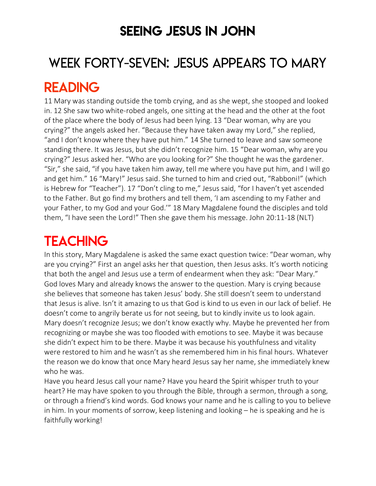### SEEING JESUS IN JOHN

# WEEK FORTY-SEVEN: JESUS APPEARS TO MARY

### READING

11 Mary was standing outside the tomb crying, and as she wept, she stooped and looked in. 12 She saw two white-robed angels, one sitting at the head and the other at the foot of the place where the body of Jesus had been lying. 13 "Dear woman, why are you crying?" the angels asked her. "Because they have taken away my Lord," she replied, "and I don't know where they have put him." 14 She turned to leave and saw someone standing there. It was Jesus, but she didn't recognize him. 15 "Dear woman, why are you crying?" Jesus asked her. "Who are you looking for?" She thought he was the gardener. "Sir," she said, "if you have taken him away, tell me where you have put him, and I will go and get him." 16 "Mary!" Jesus said. She turned to him and cried out, "Rabboni!" (which is Hebrew for "Teacher"). 17 "Don't cling to me," Jesus said, "for I haven't yet ascended to the Father. But go find my brothers and tell them, 'I am ascending to my Father and your Father, to my God and your God.'" 18 Mary Magdalene found the disciples and told them, "I have seen the Lord!" Then she gave them his message. John 20:11-18 (NLT)

# **TEACHING**

In this story, Mary Magdalene is asked the same exact question twice: "Dear woman, why are you crying?" First an angel asks her that question, then Jesus asks. It's worth noticing that both the angel and Jesus use a term of endearment when they ask: "Dear Mary." God loves Mary and already knows the answer to the question. Mary is crying because she believes that someone has taken Jesus' body. She still doesn't seem to understand that Jesus is alive. Isn't it amazing to us that God is kind to us even in our lack of belief. He doesn't come to angrily berate us for not seeing, but to kindly invite us to look again. Mary doesn't recognize Jesus; we don't know exactly why. Maybe he prevented her from recognizing or maybe she was too flooded with emotions to see. Maybe it was because she didn't expect him to be there. Maybe it was because his youthfulness and vitality were restored to him and he wasn't as she remembered him in his final hours. Whatever the reason we do know that once Mary heard Jesus say her name, she immediately knew who he was.

Have you heard Jesus call your name? Have you heard the Spirit whisper truth to your heart? He may have spoken to you through the Bible, through a sermon, through a song, or through a friend's kind words. God knows your name and he is calling to you to believe in him. In your moments of sorrow, keep listening and looking – he is speaking and he is faithfully working!